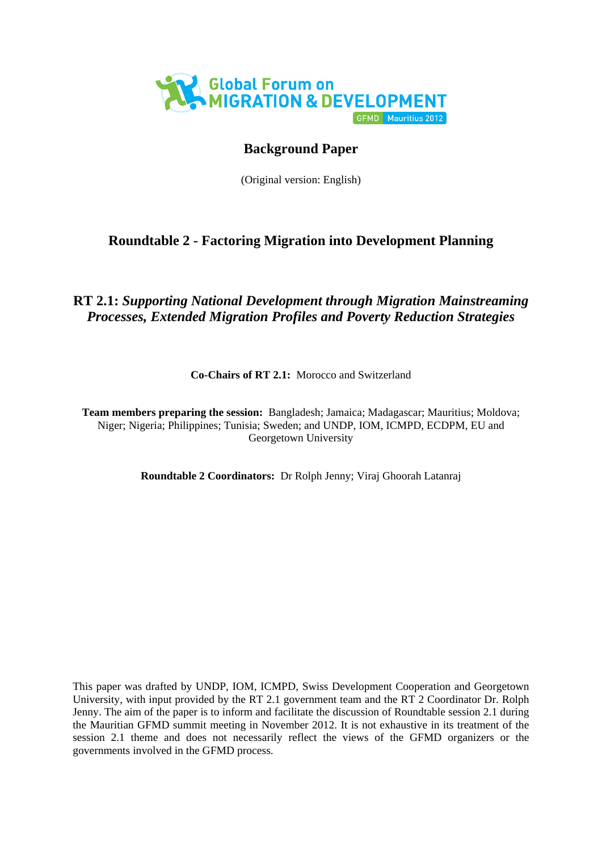

# **Background Paper**

(Original version: English)

# **Roundtable 2 - Factoring Migration into Development Planning**

# **RT 2.1:** *Supporting National Development through Migration Mainstreaming Processes, Extended Migration Profiles and Poverty Reduction Strategies*

**Co-Chairs of RT 2.1:** Morocco and Switzerland

**Team members preparing the session:** Bangladesh; Jamaica; Madagascar; Mauritius; Moldova; Niger; Nigeria; Philippines; Tunisia; Sweden; and UNDP, IOM, ICMPD, ECDPM, EU and Georgetown University

**Roundtable 2 Coordinators:** Dr Rolph Jenny; Viraj Ghoorah Latanraj

<span id="page-0-0"></span>This paper was drafted by UNDP, IOM, ICMPD, Swiss Development Cooperation and Georgetown University, with input provided by the RT 2.1 government team and the RT 2 Coordinator Dr. Rolph Jenny. The aim of the paper is to inform and facilitate the discussion of Roundtable session 2.1 during the Mauritian GFMD summit meeting in November 2012. It is not exhaustive in its treatment of the session 2.1 theme and does not necessarily reflect the views of the GFMD organizers or the governments involved in the GFMD process.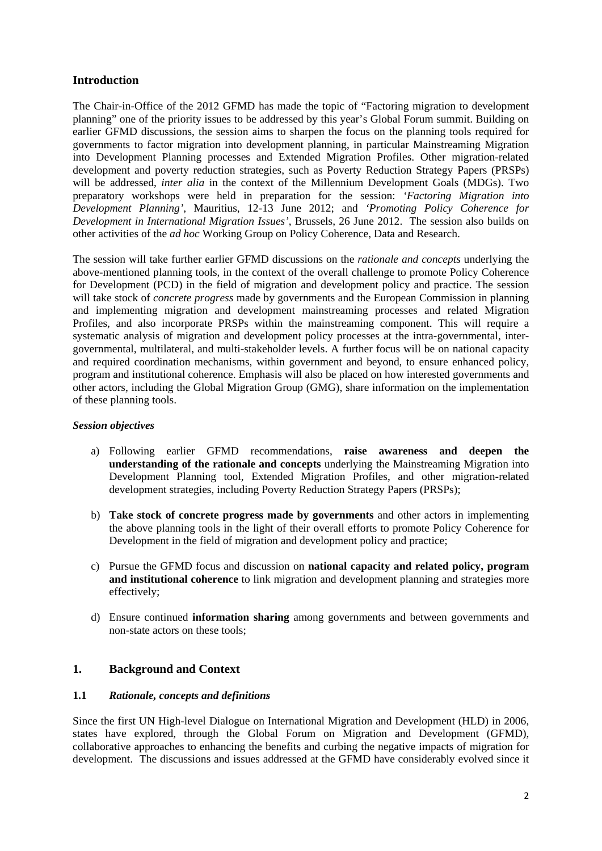# **Introduction**

The Chair-in-Office of the 2012 GFMD has made the topic of "Factoring migration to development planning" one of the priority issues to be addressed by this year's Global Forum summit. Building on earlier GFMD discussions, the session aims to sharpen the focus on the planning tools required for governments to factor migration into development planning, in particular Mainstreaming Migration into Development Planning processes and Extended Migration Profiles. Other migration-related development and poverty reduction strategies, such as Poverty Reduction Strategy Papers (PRSPs) will be addressed, *inter alia* in the context of the Millennium Development Goals (MDGs). Two preparatory workshops were held in preparation for the session: *'Factoring Migration into Development Planning'*, Mauritius, 12-13 June 2012; and *'Promoting Policy Coherence for Development in International Migration Issues'*, Brussels, 26 June 2012. The session also builds on other activities of the *ad hoc* Working Group on Policy Coherence, Data and Research.

The session will take further earlier GFMD discussions on the *rationale and concepts* underlying the above-mentioned planning tools, in the context of the overall challenge to promote Policy Coherence for Development (PCD) in the field of migration and development policy and practice. The session will take stock of *concrete progress* made by governments and the European Commission in planning and implementing migration and development mainstreaming processes and related Migration Profiles, and also incorporate PRSPs within the mainstreaming component. This will require a systematic analysis of migration and development policy processes at the intra-governmental, intergovernmental, multilateral, and multi-stakeholder levels. A further focus will be on national capacity and required coordination mechanisms, within government and beyond, to ensure enhanced policy, program and institutional coherence. Emphasis will also be placed on how interested governments and other actors, including the Global Migration Group (GMG), share information on the implementation of these planning tools.

### *Session objectives*

- a) Following earlier GFMD recommendations, **raise awareness and deepen the understanding of the rationale and concepts** underlying the Mainstreaming Migration into Development Planning tool, Extended Migration Profiles, and other migration-related development strategies, including Poverty Reduction Strategy Papers (PRSPs);
- b) **Take stock of concrete progress made by governments** and other actors in implementing the above planning tools in the light of their overall efforts to promote Policy Coherence for Development in the field of migration and development policy and practice;
- c) Pursue the GFMD focus and discussion on **national capacity and related policy, program and institutional coherence** to link migration and development planning and strategies more effectively;
- d) Ensure continued **information sharing** among governments and between governments and non-state actors on these tools;

# **1. Background and Context**

#### **1.1** *Rationale, concepts and definitions*

Since the first UN High-level Dialogue on International Migration and Development (HLD) in 2006, states have explored, through the Global Forum on Migration and Development (GFMD), collaborative approaches to enhancing the benefits and curbing the negative impacts of migration for development. The discussions and issues addressed at the GFMD have considerably evolved since it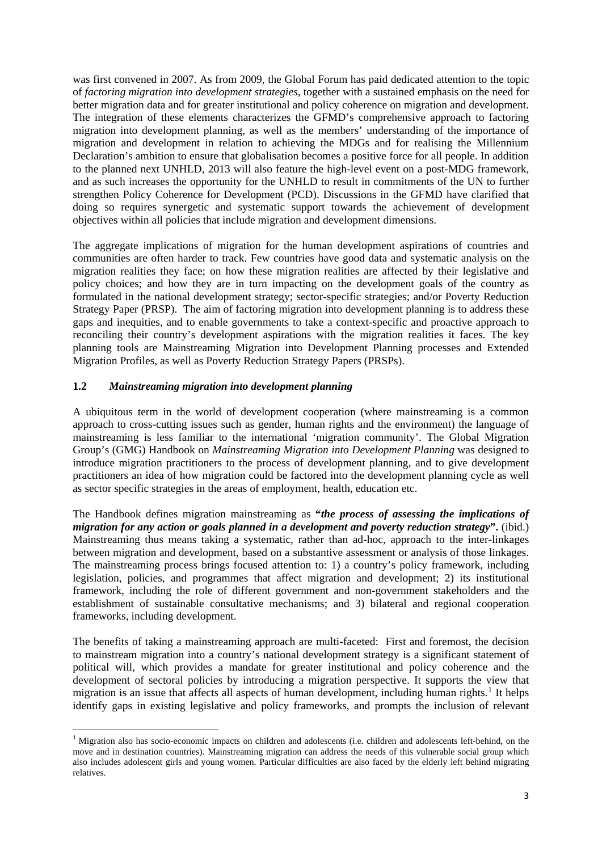was first convened in 2007. As from 2009, the Global Forum has paid dedicated attention to the topic of *factoring migration into development strategies*, together with a sustained emphasis on the need for better migration data and for greater institutional and policy coherence on migration and development. The integration of these elements characterizes the GFMD's comprehensive approach to factoring migration into development planning, as well as the members' understanding of the importance of migration and development in relation to achieving the MDGs and for realising the Millennium Declaration's ambition to ensure that globalisation becomes a positive force for all people. In addition to the planned next UNHLD, 2013 will also feature the high-level event on a post-MDG framework, and as such increases the opportunity for the UNHLD to result in commitments of the UN to further strengthen Policy Coherence for Development (PCD). Discussions in the GFMD have clarified that doing so requires synergetic and systematic support towards the achievement of development objectives within all policies that include migration and development dimensions.

The aggregate implications of migration for the human development aspirations of countries and communities are often harder to track. Few countries have good data and systematic analysis on the migration realities they face; on how these migration realities are affected by their legislative and policy choices; and how they are in turn impacting on the development goals of the country as formulated in the national development strategy; sector-specific strategies; and/or Poverty Reduction Strategy Paper (PRSP). The aim of factoring migration into development planning is to address these gaps and inequities, and to enable governments to take a context-specific and proactive approach to reconciling their country's development aspirations with the migration realities it faces. The key planning tools are Mainstreaming Migration into Development Planning processes and Extended Migration Profiles, as well as Poverty Reduction Strategy Papers (PRSPs).

#### **1.2** *Mainstreaming migration into development planning*

<span id="page-2-0"></span>

A ubiquitous term in the world of development cooperation (where mainstreaming is a common approach to cross-cutting issues such as gender, human rights and the environment) the language of mainstreaming is less familiar to the international 'migration community'. The Global Migration Group's (GMG) Handbook on *Mainstreaming Migration into Development Planning* was designed to introduce migration practitioners to the process of development planning, and to give development practitioners an idea of how migration could be factored into the development planning cycle as well as sector specific strategies in the areas of employment, health, education etc.

The Handbook defines migration mainstreaming as **"***the process of assessing the implications of migration for any action or goals planned in a development and poverty reduction strategy***".** (ibid.) Mainstreaming thus means taking a systematic, rather than ad-hoc, approach to the inter-linkages between migration and development, based on a substantive assessment or analysis of those linkages. The mainstreaming process brings focused attention to: 1) a country's policy framework, including legislation, policies, and programmes that affect migration and development; 2) its institutional framework, including the role of different government and non-government stakeholders and the establishment of sustainable consultative mechanisms; and 3) bilateral and regional cooperation frameworks, including development.

The benefits of taking a mainstreaming approach are multi-faceted: First and foremost, the decision to mainstream migration into a country's national development strategy is a significant statement of political will, which provides a mandate for greater institutional and policy coherence and the development of sectoral policies by introducing a migration perspective. It supports the view that migration is an issue that affects all aspects of human development, including human rights.<sup>[1](#page-0-0)</sup> It helps identify gaps in existing legislative and policy frameworks, and prompts the inclusion of relevant

<sup>&</sup>lt;sup>1</sup> Migration also has socio-economic impacts on children and adolescents (i.e. children and adolescents left-behind, on the move and in destination countries). Mainstreaming migration can address the needs of this vulnerable social group which also includes adolescent girls and young women. Particular difficulties are also faced by the elderly left behind migrating relatives.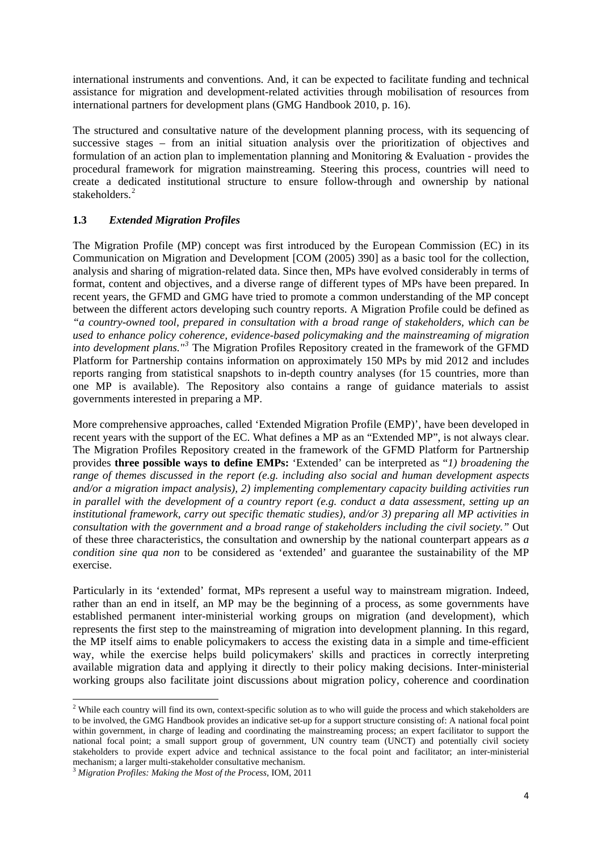international instruments and conventions. And, it can be expected to facilitate funding and technical assistance for migration and development-related activities through mobilisation of resources from international partners for development plans (GMG Handbook 2010, p. 16).

The structured and consultative nature of the development planning process, with its sequencing of successive stages – from an initial situation analysis over the prioritization of objectives and formulation of an action plan to implementation planning and Monitoring  $&$  Evaluation - provides the procedural framework for migration mainstreaming. Steering this process, countries will need to create a dedicated institutional structure to ensure follow-through and ownership by national stakeholders.<sup>[2](#page-2-0)</sup>

## **1.3** *Extended Migration Profiles*

The Migration Profile (MP) concept was first introduced by the European Commission (EC) in its Communication on Migration and Development [\[COM \(2005\) 390\]](http://eur-lex.europa.eu/LexUriServ/LexUriServ.do?uri=COM:2005:0390:FIN:EN:PDF) as a basic tool for the collection, analysis and sharing of migration-related data. Since then, MPs have evolved considerably in terms of format, content and objectives, and a diverse range of different types of MPs have been prepared. In recent years, the GFMD and GMG have tried to promote a common understanding of the MP concept between the different actors developing such country reports. A Migration Profile could be defined as *"a country-owned tool, prepared in consultation with a broad range of stakeholders, which can be used to enhance policy coherence, evidence-based policymaking and the mainstreaming of migration into development plans."[3](#page-3-0)* The Migration Profiles Repository created in the framework of the GFMD Platform for Partnership contains information on approximately 150 MPs by mid 2012 and includes reports ranging from statistical snapshots to in-depth country analyses (for 15 countries, more than one MP is available). The Repository also contains a range of guidance materials to assist governments interested in preparing a MP.

More comprehensive approaches, called 'Extended Migration Profile (EMP)', have been developed in recent years with the support of the EC. What defines a MP as an "Extended MP", is not always clear. The Migration Profiles Repository created in the framework of the GFMD Platform for Partnership provides **three possible ways to define EMPs:** 'Extended' can be interpreted as "*1) broadening the range of themes discussed in the report (e.g. including also social and human development aspects and/or a migration impact analysis), 2) implementing complementary capacity building activities run in parallel with the development of a country report (e.g. conduct a data assessment, setting up an institutional framework, carry out specific thematic studies), and/or 3) preparing all MP activities in consultation with the government and a broad range of stakeholders including the civil society."* Out of these three characteristics, the consultation and ownership by the national counterpart appears as *a condition sine qua non* to be considered as 'extended' and guarantee the sustainability of the MP exercise.

Particularly in its 'extended' format, MPs represent a useful way to mainstream migration. Indeed, rather than an end in itself, an MP may be the beginning of a process, as some governments have established permanent inter-ministerial working groups on migration (and development), which represents the first step to the mainstreaming of migration into development planning. In this regard, the MP itself aims to enable policymakers to access the existing data in a simple and time-efficient way, while the exercise helps build policymakers' skills and practices in correctly interpreting available migration data and applying it directly to their policy making decisions. Inter-ministerial working groups also facilitate joint discussions about migration policy, coherence and coordination

<span id="page-3-1"></span><sup>&</sup>lt;sup>2</sup> While each country will find its own, context-specific solution as to who will guide the process and which stakeholders are to be involved, the GMG Handbook provides an indicative set-up for a support structure consisting of: A national focal point within government, in charge of leading and coordinating the mainstreaming process; an expert facilitator to support the national focal point; a small support group of government, UN country team (UNCT) and potentially civil society stakeholders to provide expert advice and technical assistance to the focal point and facilitator; an inter-ministerial mechanism; a larger multi-stakeholder consultative mechanism. 3 *Migration Profiles: Making the Most of the Process*, IOM, 2011

<span id="page-3-0"></span>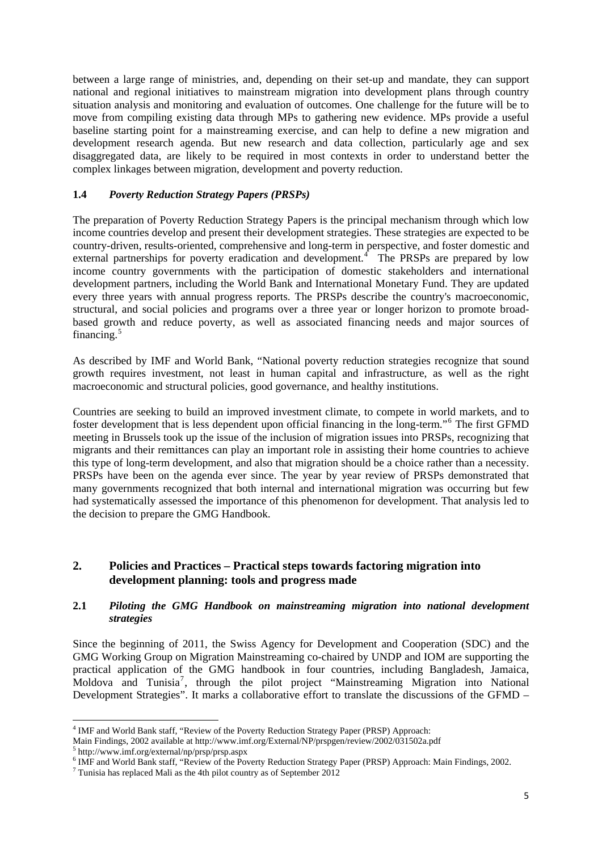between a large range of ministries, and, depending on their set-up and mandate, they can support national and regional initiatives to mainstream migration into development plans through country situation analysis and monitoring and evaluation of outcomes. One challenge for the future will be to move from compiling existing data through MPs to gathering new evidence. MPs provide a useful baseline starting point for a mainstreaming exercise, and can help to define a new migration and development research agenda. But new research and data collection, particularly age and sex disaggregated data, are likely to be required in most contexts in order to understand better the complex linkages between migration, development and poverty reduction.

### **1.4** *Poverty Reduction Strategy Papers (PRSPs)*

The preparation of Poverty Reduction Strategy Papers is the principal mechanism through which low income countries develop and present their development strategies. These strategies are expected to be country-driven, results-oriented, comprehensive and long-term in perspective, and foster domestic and external partnerships for poverty eradication and development.<sup>[4](#page-3-1)</sup> The PRSPs are prepared by low income country governments with the participation of domestic stakeholders and international development partners, including the World Bank and International Monetary Fund. They are updated every three years with annual progress reports. The PRSPs describe the country's macroeconomic, structural, and social policies and programs over a three year or longer horizon to promote broadbased growth and reduce poverty, as well as associated financing needs and major sources of financing. $5$ 

As described by IMF and World Bank, "National poverty reduction strategies recognize that sound growth requires investment, not least in human capital and infrastructure, as well as the right macroeconomic and structural policies, good governance, and healthy institutions.

Countries are seeking to build an improved investment climate, to compete in world markets, and to foster development that is less dependent upon official financing in the long-term."<sup>[6](#page-4-1)</sup> The first GFMD meeting in Brussels took up the issue of the inclusion of migration issues into PRSPs, recognizing that migrants and their remittances can play an important role in assisting their home countries to achieve this type of long-term development, and also that migration should be a choice rather than a necessity. PRSPs have been on the agenda ever since. The year by year review of PRSPs demonstrated that many governments recognized that both internal and international migration was occurring but few had systematically assessed the importance of this phenomenon for development. That analysis led to the decision to prepare the GMG Handbook*.*

## **2. Policies and Practices – Practical steps towards factoring migration into development planning: tools and progress made**

#### **2.1** *Piloting the GMG Handbook on mainstreaming migration into national development strategies*

Since the beginning of 2011, the Swiss Agency for Development and Cooperation (SDC) and the GMG Working Group on Migration Mainstreaming co-chaired by UNDP and IOM are supporting the practical application of the GMG handbook in four countries, including Bangladesh, Jamaica, Moldova and Tunisia<sup>[7](#page-4-2)</sup>, through the pilot project "Mainstreaming Migration into National Development Strategies". It marks a collaborative effort to translate the discussions of the GFMD –

<span id="page-4-3"></span> <sup>4</sup> IMF and World Bank staff, "Review of the Poverty Reduction Strategy Paper (PRSP) Approach:

Main Findings, 2002 available at http://www.imf.org/External/NP/prspgen/review/2002/031502a.pdf 5

 $5$  http://www.imf.org/external/np/prsp/prsp.aspx

<span id="page-4-1"></span><span id="page-4-0"></span><sup>&</sup>lt;sup>6</sup> IMF and World Bank staff, "Review of the Poverty Reduction Strategy Paper (PRSP) Approach: Main Findings, 2002.

<span id="page-4-2"></span> $7$  Tunisia has replaced Mali as the 4th pilot country as of September 2012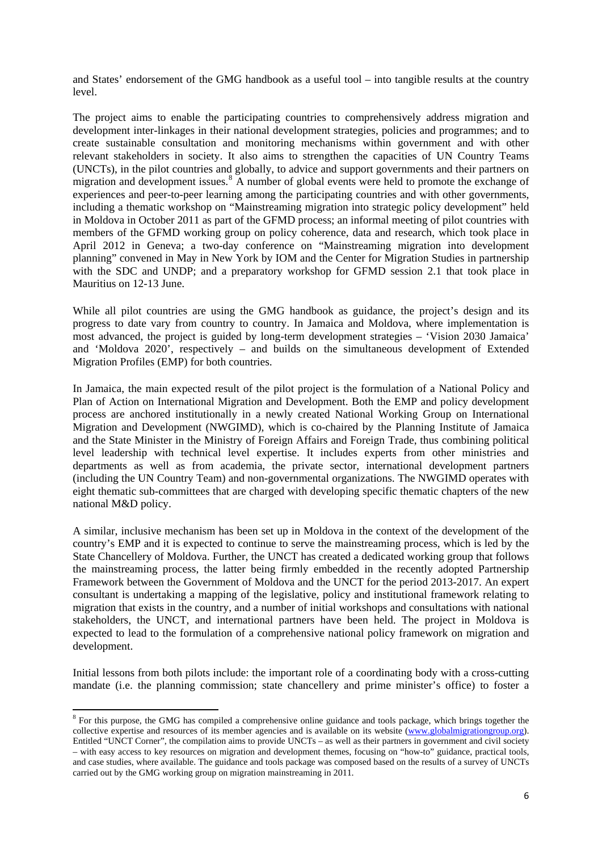and States' endorsement of the GMG handbook as a useful tool – into tangible results at the country level.

The project aims to enable the participating countries to comprehensively address migration and development inter-linkages in their national development strategies, policies and programmes; and to create sustainable consultation and monitoring mechanisms within government and with other relevant stakeholders in society. It also aims to strengthen the capacities of UN Country Teams (UNCTs), in the pilot countries and globally, to advice and support governments and their partners on migration and development issues.<sup>[8](#page-4-3)</sup> A number of global events were held to promote the exchange of experiences and peer-to-peer learning among the participating countries and with other governments, including a thematic workshop on "Mainstreaming migration into strategic policy development" held in Moldova in October 2011 as part of the GFMD process; an informal meeting of pilot countries with members of the GFMD working group on policy coherence, data and research, which took place in April 2012 in Geneva; a two-day conference on "Mainstreaming migration into development planning" convened in May in New York by IOM and the Center for Migration Studies in partnership with the SDC and UNDP; and a preparatory workshop for GFMD session 2.1 that took place in Mauritius on 12-13 June.

While all pilot countries are using the GMG handbook as guidance, the project's design and its progress to date vary from country to country. In Jamaica and Moldova, where implementation is most advanced, the project is guided by long-term development strategies – 'Vision 2030 Jamaica' and 'Moldova 2020', respectively – and builds on the simultaneous development of Extended Migration Profiles (EMP) for both countries.

In Jamaica, the main expected result of the pilot project is the formulation of a National Policy and Plan of Action on International Migration and Development. Both the EMP and policy development process are anchored institutionally in a newly created National Working Group on International Migration and Development (NWGIMD), which is co-chaired by the Planning Institute of Jamaica and the State Minister in the Ministry of Foreign Affairs and Foreign Trade, thus combining political level leadership with technical level expertise. It includes experts from other ministries and departments as well as from academia, the private sector, international development partners (including the UN Country Team) and non-governmental organizations. The NWGIMD operates with eight thematic sub-committees that are charged with developing specific thematic chapters of the new national M&D policy.

A similar, inclusive mechanism has been set up in Moldova in the context of the development of the country's EMP and it is expected to continue to serve the mainstreaming process, which is led by the State Chancellery of Moldova. Further, the UNCT has created a dedicated working group that follows the mainstreaming process, the latter being firmly embedded in the recently adopted Partnership Framework between the Government of Moldova and the UNCT for the period 2013-2017. An expert consultant is undertaking a mapping of the legislative, policy and institutional framework relating to migration that exists in the country, and a number of initial workshops and consultations with national stakeholders, the UNCT, and international partners have been held. The project in Moldova is expected to lead to the formulation of a comprehensive national policy framework on migration and development.

<span id="page-5-0"></span>Initial lessons from both pilots include: the important role of a coordinating body with a cross-cutting mandate (i.e. the planning commission; state chancellery and prime minister's office) to foster a

**EXECUTE:**<br><sup>8</sup> For this purpose, the GMG has compiled a comprehensive online guidance and tools package, which brings together the collective expertise and resources of its member agencies and is available on its website ([www.globalmigrationgroup.org](http://www.globalmigrationgroup.org/)). Entitled "UNCT Corner", the compilation aims to provide UNCTs – as well as their partners in government and civil society – with easy access to key resources on migration and development themes, focusing on "how-to" guidance, practical tools, and case studies, where available. The guidance and tools package was composed based on the results of a survey of UNCTs carried out by the GMG working group on migration mainstreaming in 2011.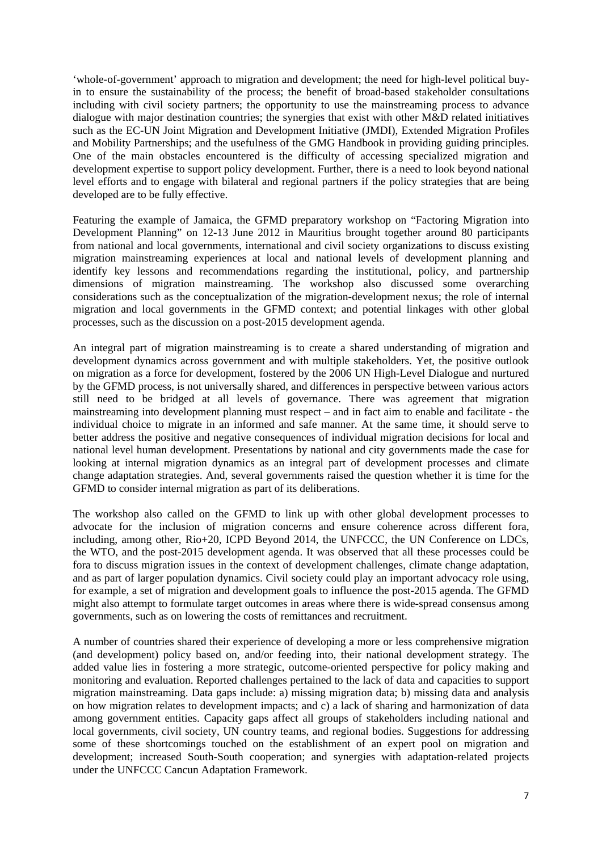'whole-of-government' approach to migration and development; the need for high-level political buyin to ensure the sustainability of the process; the benefit of broad-based stakeholder consultations including with civil society partners; the opportunity to use the mainstreaming process to advance dialogue with major destination countries; the synergies that exist with other M&D related initiatives such as the EC-UN Joint Migration and Development Initiative (JMDI), Extended Migration Profiles and Mobility Partnerships; and the usefulness of the GMG Handbook in providing guiding principles. One of the main obstacles encountered is the difficulty of accessing specialized migration and development expertise to support policy development. Further, there is a need to look beyond national level efforts and to engage with bilateral and regional partners if the policy strategies that are being developed are to be fully effective.

Featuring the example of Jamaica, the GFMD preparatory workshop on "Factoring Migration into Development Planning" on 12-13 June 2012 in Mauritius brought together around 80 participants from national and local governments, international and civil society organizations to discuss existing migration mainstreaming experiences at local and national levels of development planning and identify key lessons and recommendations regarding the institutional, policy, and partnership dimensions of migration mainstreaming. The workshop also discussed some overarching considerations such as the conceptualization of the migration-development nexus; the role of internal migration and local governments in the GFMD context; and potential linkages with other global processes, such as the discussion on a post-2015 development agenda.

An integral part of migration mainstreaming is to create a shared understanding of migration and development dynamics across government and with multiple stakeholders. Yet, the positive outlook on migration as a force for development, fostered by the 2006 UN High-Level Dialogue and nurtured by the GFMD process, is not universally shared, and differences in perspective between various actors still need to be bridged at all levels of governance. There was agreement that migration mainstreaming into development planning must respect – and in fact aim to enable and facilitate - the individual choice to migrate in an informed and safe manner. At the same time, it should serve to better address the positive and negative consequences of individual migration decisions for local and national level human development. Presentations by national and city governments made the case for looking at internal migration dynamics as an integral part of development processes and climate change adaptation strategies. And, several governments raised the question whether it is time for the GFMD to consider internal migration as part of its deliberations.

The workshop also called on the GFMD to link up with other global development processes to advocate for the inclusion of migration concerns and ensure coherence across different fora, including, among other, Rio+20, ICPD Beyond 2014, the UNFCCC, the UN Conference on LDCs, the WTO, and the post-2015 development agenda. It was observed that all these processes could be fora to discuss migration issues in the context of development challenges, climate change adaptation, and as part of larger population dynamics. Civil society could play an important advocacy role using, for example, a set of migration and development goals to influence the post-2015 agenda. The GFMD might also attempt to formulate target outcomes in areas where there is wide-spread consensus among governments, such as on lowering the costs of remittances and recruitment.

A number of countries shared their experience of developing a more or less comprehensive migration (and development) policy based on, and/or feeding into, their national development strategy. The added value lies in fostering a more strategic, outcome-oriented perspective for policy making and monitoring and evaluation. Reported challenges pertained to the lack of data and capacities to support migration mainstreaming. Data gaps include: a) missing migration data; b) missing data and analysis on how migration relates to development impacts; and c) a lack of sharing and harmonization of data among government entities. Capacity gaps affect all groups of stakeholders including national and local governments, civil society, UN country teams, and regional bodies. Suggestions for addressing some of these shortcomings touched on the establishment of an expert pool on migration and development; increased South-South cooperation; and synergies with adaptation-related projects under the UNFCCC Cancun Adaptation Framework.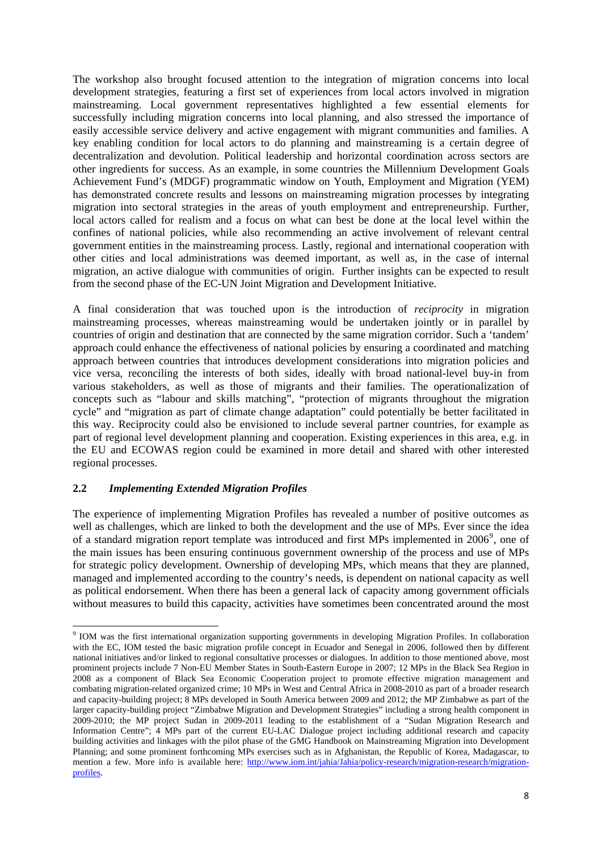The workshop also brought focused attention to the integration of migration concerns into local development strategies, featuring a first set of experiences from local actors involved in migration mainstreaming. Local government representatives highlighted a few essential elements for successfully including migration concerns into local planning, and also stressed the importance of easily accessible service delivery and active engagement with migrant communities and families. A key enabling condition for local actors to do planning and mainstreaming is a certain degree of decentralization and devolution. Political leadership and horizontal coordination across sectors are other ingredients for success. As an example, in some countries the Millennium Development Goals Achievement Fund's (MDGF) programmatic window on Youth, Employment and Migration (YEM) has demonstrated concrete results and lessons on mainstreaming migration processes by integrating migration into sectoral strategies in the areas of youth employment and entrepreneurship. Further, local actors called for realism and a focus on what can best be done at the local level within the confines of national policies, while also recommending an active involvement of relevant central government entities in the mainstreaming process. Lastly, regional and international cooperation with other cities and local administrations was deemed important, as well as, in the case of internal migration, an active dialogue with communities of origin. Further insights can be expected to result from the second phase of the EC-UN Joint Migration and Development Initiative.

A final consideration that was touched upon is the introduction of *reciprocity* in migration mainstreaming processes, whereas mainstreaming would be undertaken jointly or in parallel by countries of origin and destination that are connected by the same migration corridor. Such a 'tandem' approach could enhance the effectiveness of national policies by ensuring a coordinated and matching approach between countries that introduces development considerations into migration policies and vice versa, reconciling the interests of both sides, ideally with broad national-level buy-in from various stakeholders, as well as those of migrants and their families. The operationalization of concepts such as "labour and skills matching", "protection of migrants throughout the migration cycle" and "migration as part of climate change adaptation" could potentially be better facilitated in this way. Reciprocity could also be envisioned to include several partner countries, for example as part of regional level development planning and cooperation. Existing experiences in this area, e.g. in the EU and ECOWAS region could be examined in more detail and shared with other interested regional processes.

## **2.2** *Implementing Extended Migration Profiles*

The experience of implementing Migration Profiles has revealed a number of positive outcomes as well as challenges, which are linked to both the development and the use of MPs. Ever since the idea of a standard migration report template was introduced and first MPs implemented in  $2006^9$  $2006^9$ , one of the main issues has been ensuring continuous government ownership of the process and use of MPs for strategic policy development. Ownership of developing MPs, which means that they are planned, managed and implemented according to the country's needs, is dependent on national capacity as well as political endorsement. When there has been a general lack of capacity among government officials without measures to build this capacity, activities have sometimes been concentrated around the most

<span id="page-7-0"></span>**EXECUTE:**<br><sup>9</sup> IOM was the first international organization supporting governments in developing Migration Profiles. In collaboration with the EC, IOM tested the basic migration profile concept in Ecuador and Senegal in 2006, followed then by different national initiatives and/or linked to regional consultative processes or dialogues. In addition to those mentioned above, most prominent projects include 7 Non-EU Member States in South-Eastern Europe in 2007; 12 MPs in the Black Sea Region in 2008 as a component of Black Sea Economic Cooperation project to promote effective migration management and combating migration-related organized crime; 10 MPs in West and Central Africa in 2008-2010 as part of a broader research and capacity-building project; 8 MPs developed in South America between 2009 and 2012; the MP Zimbabwe as part of the larger capacity-building project "Zimbabwe Migration and Development Strategies" including a strong health component in 2009-2010; the MP project Sudan in 2009-2011 leading to the establishment of a "Sudan Migration Research and Information Centre"; 4 MPs part of the current EU-LAC Dialogue project including additional research and capacity building activities and linkages with the pilot phase of the GMG Handbook on Mainstreaming Migration into Development Planning; and some prominent forthcoming MPs exercises such as in Afghanistan, the Republic of Korea, Madagascar, to mention a few. More info is available here: [http://www.iom.int/jahia/Jahia/policy-research/migration-research/migration](http://www.iom.int/jahia/Jahia/policy-research/migration-research/migration-profiles)[profiles.](http://www.iom.int/jahia/Jahia/policy-research/migration-research/migration-profiles)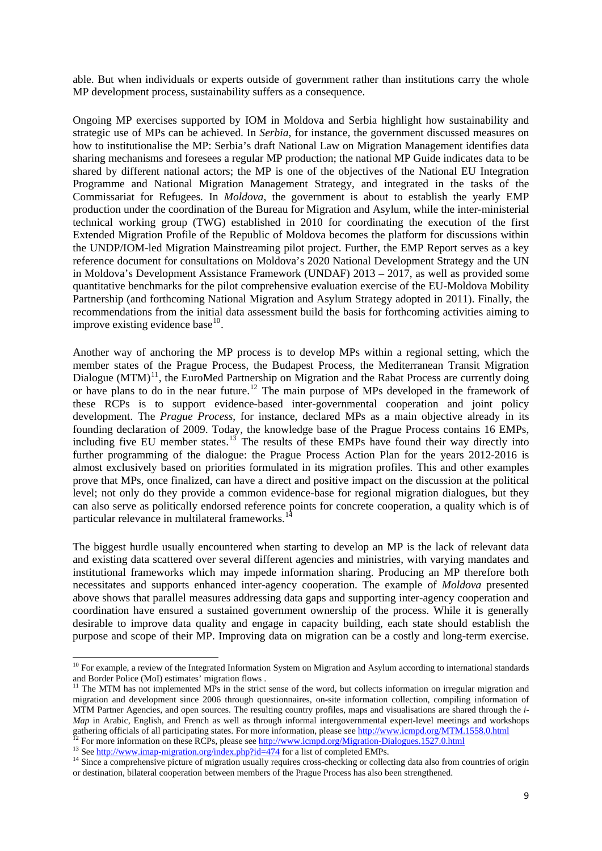able. But when individuals or experts outside of government rather than institutions carry the whole MP development process, sustainability suffers as a consequence.

Ongoing MP exercises supported by IOM in Moldova and Serbia highlight how sustainability and strategic use of MPs can be achieved. In *Serbia*, for instance, the government discussed measures on how to institutionalise the MP: Serbia's draft National Law on Migration Management identifies data sharing mechanisms and foresees a regular MP production; the national MP Guide indicates data to be shared by different national actors; the MP is one of the objectives of the National EU Integration Programme and National Migration Management Strategy, and integrated in the tasks of the Commissariat for Refugees. In *Moldova*, the government is about to establish the yearly EMP production under the coordination of the Bureau for Migration and Asylum, while the inter-ministerial technical working group (TWG) established in 2010 for coordinating the execution of the first Extended Migration Profile of the Republic of Moldova becomes the platform for discussions within the UNDP/IOM-led Migration Mainstreaming pilot project. Further, the EMP Report serves as a key reference document for consultations on Moldova's 2020 National Development Strategy and the UN in Moldova's Development Assistance Framework (UNDAF) 2013 – 2017, as well as provided some quantitative benchmarks for the pilot comprehensive evaluation exercise of the EU-Moldova Mobility Partnership (and forthcoming National Migration and Asylum Strategy adopted in 2011). Finally, the recommendations from the initial data assessment build the basis for forthcoming activities aiming to improve existing evidence base $^{10}$  $^{10}$  $^{10}$ .

Another way of anchoring the MP process is to develop MPs within a regional setting, which the member states of the Prague Process, the Budapest Process, the Mediterranean Transit Migration Dialogue  $(MTM)^{11}$  $(MTM)^{11}$  $(MTM)^{11}$ , the EuroMed Partnership on Migration and the Rabat Process are currently doing or have plans to do in the near future.<sup>[12](#page-8-1)</sup> The main purpose of MPs developed in the framework of these RCPs is to support evidence-based inter-governmental cooperation and joint policy development. The *Prague Process*, for instance, declared MPs as a main objective already in its founding declaration of 2009. Today, the knowledge base of the Prague Process contains 16 EMPs, including five EU member states.<sup>[13](#page-8-2)</sup> The results of these EMPs have found their way directly into further programming of the dialogue: the Prague Process Action Plan for the years 2012-2016 is almost exclusively based on priorities formulated in its migration profiles. This and other examples prove that MPs, once finalized, can have a direct and positive impact on the discussion at the political level; not only do they provide a common evidence-base for regional migration dialogues, but they can also serve as politically endorsed reference points for concrete cooperation, a quality which is of particular relevance in multilateral frameworks.<sup>1</sup>

The biggest hurdle usually encountered when starting to develop an MP is the lack of relevant data and existing data scattered over several different agencies and ministries, with varying mandates and institutional frameworks which may impede information sharing. Producing an MP therefore both necessitates and supports enhanced inter-agency cooperation. The example of *Moldova* presented above shows that parallel measures addressing data gaps and supporting inter-agency cooperation and coordination have ensured a sustained government ownership of the process. While it is generally desirable to improve data quality and engage in capacity building, each state should establish the purpose and scope of their MP. Improving data on migration can be a costly and long-term exercise.

<span id="page-8-1"></span>

<span id="page-8-4"></span> $10$  For example, a review of the Integrated Information System on Migration and Asylum according to international standards and Border Police (MoI) estimates' migration flows .

<span id="page-8-0"></span><sup>&</sup>lt;sup>11</sup> The MTM has not implemented MPs in the strict sense of the word, but collects information on irregular migration and migration and development since 2006 through questionnaires, on-site information collection, compiling information of MTM Partner Agencies, and open sources. The resulting country profiles, maps and visualisations are shared through the *i-Map* in Arabic, English, and French as well as through informal intergovernmental expert-level meetings and workshops gathering officials of all participating states. For m[ore information, please see](http://www.icmpd.org/Migration-Dialogues.1527.0.html) http://www.icmpd.org/MTM.1558.0.html<br><sup>12</sup> For [more information on these RCPs, please see](http://www.imap-migration.org/index.php?id=474) <u>http://www.icmpd.org/Migration-Dialogues.1527.0.ht</u>

<span id="page-8-3"></span><span id="page-8-2"></span>or destination, bilateral cooperation between members of the Prague Process has also been strengthened.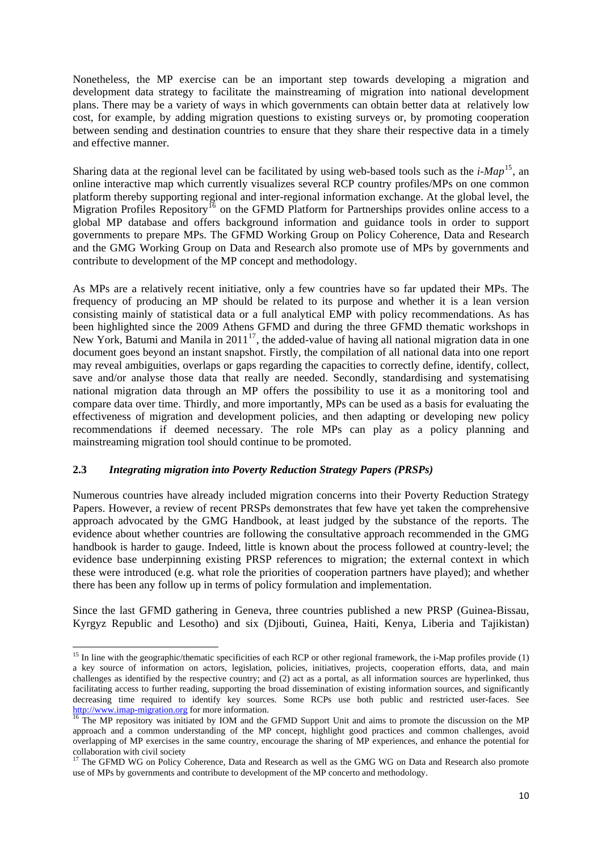Nonetheless, the MP exercise can be an important step towards developing a migration and development data strategy to facilitate the mainstreaming of migration into national development plans. There may be a variety of ways in which governments can obtain better data at relatively low cost, for example, by adding migration questions to existing surveys or, by promoting cooperation between sending and destination countries to ensure that they share their respective data in a timely and effective manner.

Sharing data at the regional level can be facilitated by using web-based tools such as the  $i-Map<sup>15</sup>$  $i-Map<sup>15</sup>$  $i-Map<sup>15</sup>$ , an online interactive map which currently visualizes several RCP country profiles/MPs on one common platform thereby supporting regional and inter-regional information exchange. At the global level, the Migration Profiles Repository<sup>[16](#page-9-0)</sup> on the GFMD Platform for Partnerships provides online access to a global MP database and offers background information and guidance tools in order to support governments to prepare MPs. The GFMD Working Group on Policy Coherence, Data and Research and the GMG Working Group on Data and Research also promote use of MPs by governments and contribute to development of the MP concept and methodology.

As MPs are a relatively recent initiative, only a few countries have so far updated their MPs. The frequency of producing an MP should be related to its purpose and whether it is a lean version consisting mainly of statistical data or a full analytical EMP with policy recommendations. As has been highlighted since the 2009 Athens GFMD and during the three GFMD thematic workshops in New York, Batumi and Manila in  $2011^{17}$  $2011^{17}$  $2011^{17}$ , the added-value of having all national migration data in one document goes beyond an instant snapshot. Firstly, the compilation of all national data into one report may reveal ambiguities, overlaps or gaps regarding the capacities to correctly define, identify, collect, save and/or analyse those data that really are needed. Secondly, standardising and systematising national migration data through an MP offers the possibility to use it as a monitoring tool and compare data over time. Thirdly, and more importantly, MPs can be used as a basis for evaluating the effectiveness of migration and development policies, and then adapting or developing new policy recommendations if deemed necessary. The role MPs can play as a policy planning and mainstreaming migration tool should continue to be promoted.

#### **2.3** *Integrating migration into Poverty Reduction Strategy Papers (PRSPs)*

Numerous countries have already included migration concerns into their Poverty Reduction Strategy Papers. However, a review of recent PRSPs demonstrates that few have yet taken the comprehensive approach advocated by the GMG Handbook, at least judged by the substance of the reports. The evidence about whether countries are following the consultative approach recommended in the GMG handbook is harder to gauge. Indeed, little is known about the process followed at country-level; the evidence base underpinning existing PRSP references to migration; the external context in which these were introduced (e.g. what role the priorities of cooperation partners have played); and whether there has been any follow up in terms of policy formulation and implementation.

Since the last GFMD gathering in Geneva, three countries published a new PRSP (Guinea-Bissau, Kyrgyz Republic and Lesotho) and six (Djibouti, Guinea, Haiti, Kenya, Liberia and Tajikistan)

<sup>&</sup>lt;sup>15</sup> In line with the geographic/thematic specificities of each RCP or other regional framework, the i-Map profiles provide (1) a key source of information on actors, legislation, policies, initiatives, projects, cooperation efforts, data, and main challenges as identified by the respective country; and (2) act as a portal, as all information sources are hyperlinked, thus facilitating access to further reading, supporting the broad dissemination of existing information sources, and significantly decreasing time required to identify key sources. Some RCPs use both public and restricted user-faces. See  $\frac{http://www.imap-migration.org}{16}$  for more information.

<span id="page-9-0"></span>The MP repository was initiated by IOM and the GFMD Support Unit and aims to promote the discussion on the MP approach and a common understanding of the MP concept, highlight good practices and common challenges, avoid overlapping of MP exercises in the same country, encourage the sharing of MP experiences, and enhance the potential for collaboration with civil society

<span id="page-9-2"></span><span id="page-9-1"></span><sup>&</sup>lt;sup>17</sup> The GFMD WG on Policy Coherence, Data and Research as well as the GMG WG on Data and Research also promote use of MPs by governments and contribute to development of the MP concerto and methodology.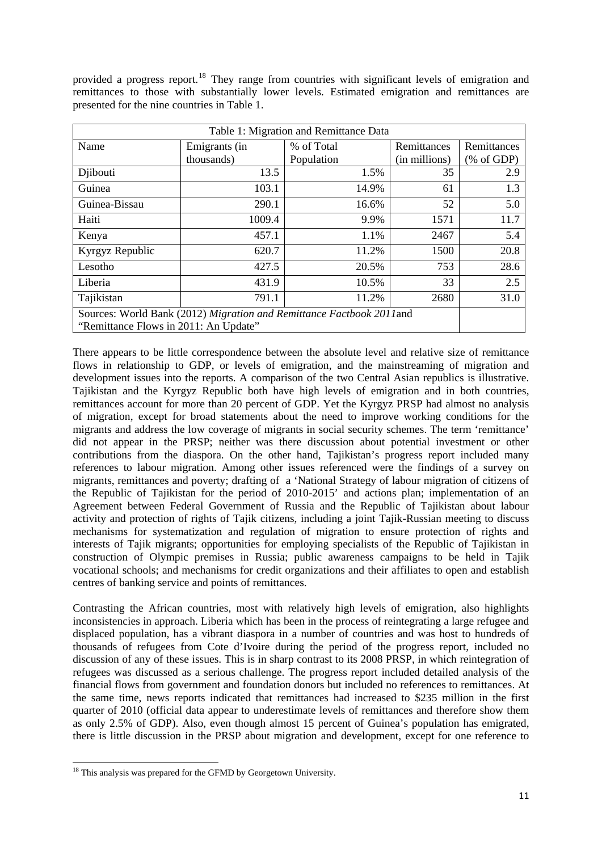provided a progress report.<sup>[18](#page-9-2)</sup> They range from countries with significant levels of emigration and remittances to those with substantially lower levels. Estimated emigration and remittances are presented for the nine countries in Table 1.

| Table 1: Migration and Remittance Data                                                                        |               |            |               |                                          |
|---------------------------------------------------------------------------------------------------------------|---------------|------------|---------------|------------------------------------------|
| Name                                                                                                          | Emigrants (in | % of Total | Remittances   | Remittances                              |
|                                                                                                               | thousands)    | Population | (in millions) | $(% \mathcal{L}_{0}^{\infty}$ (% of GDP) |
| Djibouti                                                                                                      | 13.5          | 1.5%       | 35            | 2.9                                      |
| Guinea                                                                                                        | 103.1         | 14.9%      | 61            | 1.3                                      |
| Guinea-Bissau                                                                                                 | 290.1         | 16.6%      | 52            | 5.0                                      |
| Haiti                                                                                                         | 1009.4        | 9.9%       | 1571          | 11.7                                     |
| Kenya                                                                                                         | 457.1         | 1.1%       | 2467          | 5.4                                      |
| Kyrgyz Republic                                                                                               | 620.7         | 11.2%      | 1500          | 20.8                                     |
| Lesotho                                                                                                       | 427.5         | 20.5%      | 753           | 28.6                                     |
| Liberia                                                                                                       | 431.9         | 10.5%      | 33            | 2.5                                      |
| Tajikistan                                                                                                    | 791.1         | 11.2%      | 2680          | 31.0                                     |
| Sources: World Bank (2012) Migration and Remittance Factbook 2011and<br>"Remittance Flows in 2011: An Update" |               |            |               |                                          |

There appears to be little correspondence between the absolute level and relative size of remittance flows in relationship to GDP, or levels of emigration, and the mainstreaming of migration and development issues into the reports. A comparison of the two Central Asian republics is illustrative. Tajikistan and the Kyrgyz Republic both have high levels of emigration and in both countries, remittances account for more than 20 percent of GDP. Yet the Kyrgyz PRSP had almost no analysis of migration, except for broad statements about the need to improve working conditions for the migrants and address the low coverage of migrants in social security schemes. The term 'remittance' did not appear in the PRSP; neither was there discussion about potential investment or other contributions from the diaspora. On the other hand, Tajikistan's progress report included many references to labour migration. Among other issues referenced were the findings of a survey on migrants, remittances and poverty; drafting of a 'National Strategy of labour migration of citizens of the Republic of Tajikistan for the period of 2010-2015' and actions plan; implementation of an Agreement between Federal Government of Russia and the Republic of Tajikistan about labour activity and protection of rights of Tajik citizens, including a joint Tajik-Russian meeting to discuss mechanisms for systematization and regulation of migration to ensure protection of rights and interests of Tajik migrants; opportunities for employing specialists of the Republic of Tajikistan in construction of Olympic premises in Russia; public awareness campaigns to be held in Tajik vocational schools; and mechanisms for credit organizations and their affiliates to open and establish centres of banking service and points of remittances.

Contrasting the African countries, most with relatively high levels of emigration, also highlights inconsistencies in approach. Liberia which has been in the process of reintegrating a large refugee and displaced population, has a vibrant diaspora in a number of countries and was host to hundreds of thousands of refugees from Cote d'Ivoire during the period of the progress report, included no discussion of any of these issues. This is in sharp contrast to its 2008 PRSP, in which reintegration of refugees was discussed as a serious challenge. The progress report included detailed analysis of the financial flows from government and foundation donors but included no references to remittances. At the same time, news reports indicated that remittances had increased to \$235 million in the first quarter of 2010 (official data appear to underestimate levels of remittances and therefore show them as only 2.5% of GDP). Also, even though almost 15 percent of Guinea's population has emigrated, there is little discussion in the PRSP about migration and development, except for one reference to

 <sup>18</sup> This analysis was prepared for the GFMD by Georgetown University.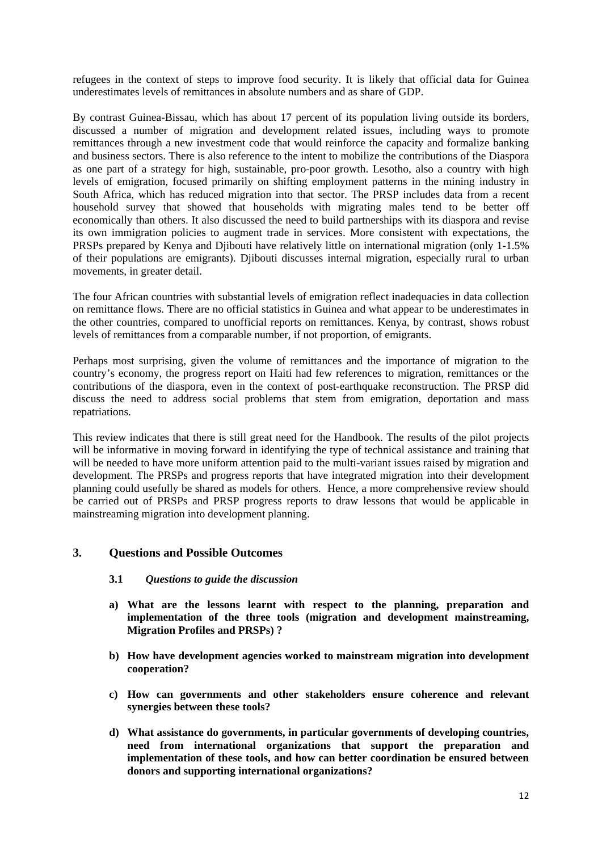refugees in the context of steps to improve food security. It is likely that official data for Guinea underestimates levels of remittances in absolute numbers and as share of GDP.

By contrast Guinea-Bissau, which has about 17 percent of its population living outside its borders, discussed a number of migration and development related issues, including ways to promote remittances through a new investment code that would reinforce the capacity and formalize banking and business sectors. There is also reference to the intent to mobilize the contributions of the Diaspora as one part of a strategy for high, sustainable, pro-poor growth. Lesotho, also a country with high levels of emigration, focused primarily on shifting employment patterns in the mining industry in South Africa, which has reduced migration into that sector. The PRSP includes data from a recent household survey that showed that households with migrating males tend to be better off economically than others. It also discussed the need to build partnerships with its diaspora and revise its own immigration policies to augment trade in services. More consistent with expectations, the PRSPs prepared by Kenya and Djibouti have relatively little on international migration (only 1-1.5% of their populations are emigrants). Djibouti discusses internal migration, especially rural to urban movements, in greater detail.

The four African countries with substantial levels of emigration reflect inadequacies in data collection on remittance flows. There are no official statistics in Guinea and what appear to be underestimates in the other countries, compared to unofficial reports on remittances. Kenya, by contrast, shows robust levels of remittances from a comparable number, if not proportion, of emigrants.

Perhaps most surprising, given the volume of remittances and the importance of migration to the country's economy, the progress report on Haiti had few references to migration, remittances or the contributions of the diaspora, even in the context of post-earthquake reconstruction. The PRSP did discuss the need to address social problems that stem from emigration, deportation and mass repatriations.

This review indicates that there is still great need for the Handbook. The results of the pilot projects will be informative in moving forward in identifying the type of technical assistance and training that will be needed to have more uniform attention paid to the multi-variant issues raised by migration and development. The PRSPs and progress reports that have integrated migration into their development planning could usefully be shared as models for others. Hence, a more comprehensive review should be carried out of PRSPs and PRSP progress reports to draw lessons that would be applicable in mainstreaming migration into development planning.

## **3. Questions and Possible Outcomes**

#### **3.1** *Questions to guide the discussion*

- **a) What are the lessons learnt with respect to the planning, preparation and implementation of the three tools (migration and development mainstreaming, Migration Profiles and PRSPs) ?**
- **b) How have development agencies worked to mainstream migration into development cooperation?**
- **c) How can governments and other stakeholders ensure coherence and relevant synergies between these tools?**
- **d) What assistance do governments, in particular governments of developing countries, need from international organizations that support the preparation and implementation of these tools, and how can better coordination be ensured between donors and supporting international organizations?**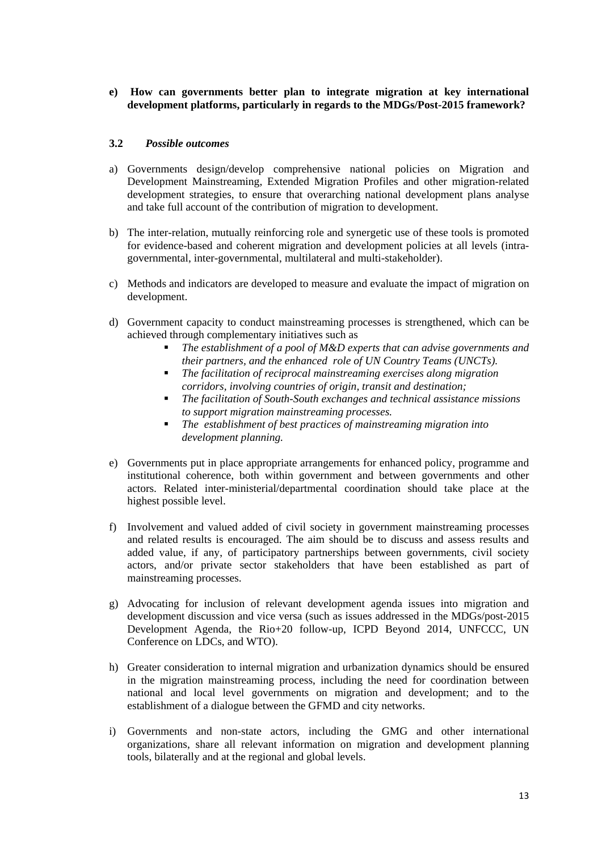#### **e) How can governments better plan to integrate migration at key international development platforms, particularly in regards to the MDGs/Post-2015 framework?**

#### **3.2** *Possible outcomes*

- a) Governments design/develop comprehensive national policies on Migration and Development Mainstreaming, Extended Migration Profiles and other migration-related development strategies, to ensure that overarching national development plans analyse and take full account of the contribution of migration to development.
- b) The inter-relation, mutually reinforcing role and synergetic use of these tools is promoted for evidence-based and coherent migration and development policies at all levels (intragovernmental, inter-governmental, multilateral and multi-stakeholder).
- c) Methods and indicators are developed to measure and evaluate the impact of migration on development.
- d) Government capacity to conduct mainstreaming processes is strengthened, which can be achieved through complementary initiatives such as
	- *The establishment of a pool of M&D experts that can advise governments and their partners, and the enhanced role of UN Country Teams (UNCTs).*
	- *The facilitation of reciprocal mainstreaming exercises along migration corridors, involving countries of origin, transit and destination;*
	- *The facilitation of South-South exchanges and technical assistance missions to support migration mainstreaming processes.*
	- *The establishment of best practices of mainstreaming migration into development planning.*
- e) Governments put in place appropriate arrangements for enhanced policy, programme and institutional coherence, both within government and between governments and other actors. Related inter-ministerial/departmental coordination should take place at the highest possible level.
- f) Involvement and valued added of civil society in government mainstreaming processes and related results is encouraged. The aim should be to discuss and assess results and added value, if any, of participatory partnerships between governments, civil society actors, and/or private sector stakeholders that have been established as part of mainstreaming processes.
- g) Advocating for inclusion of relevant development agenda issues into migration and development discussion and vice versa (such as issues addressed in the MDGs/post-2015 Development Agenda, the Rio+20 follow-up, ICPD Beyond 2014, UNFCCC, UN Conference on LDCs, and WTO).
- h) Greater consideration to internal migration and urbanization dynamics should be ensured in the migration mainstreaming process, including the need for coordination between national and local level governments on migration and development; and to the establishment of a dialogue between the GFMD and city networks.
- i) Governments and non-state actors, including the GMG and other international organizations, share all relevant information on migration and development planning tools, bilaterally and at the regional and global levels.